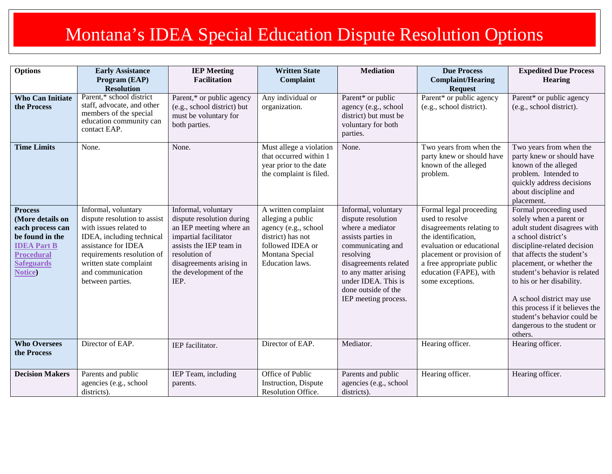## Montana's IDEA Special Education Dispute Resolution Options

| <b>Options</b>                                                                                                                                             | <b>Early Assistance</b>                                                                                                                                                                                                             | <b>IEP</b> Meeting                                                                                                                                                                                             | <b>Written State</b>                                                                                                                            | <b>Mediation</b>                                                                                                                                                                                                                              | <b>Due Process</b>                                                                                                                                                                                                                  | <b>Expedited Due Process</b>                                                                                                                                                                                                                                                                                                                                                                              |
|------------------------------------------------------------------------------------------------------------------------------------------------------------|-------------------------------------------------------------------------------------------------------------------------------------------------------------------------------------------------------------------------------------|----------------------------------------------------------------------------------------------------------------------------------------------------------------------------------------------------------------|-------------------------------------------------------------------------------------------------------------------------------------------------|-----------------------------------------------------------------------------------------------------------------------------------------------------------------------------------------------------------------------------------------------|-------------------------------------------------------------------------------------------------------------------------------------------------------------------------------------------------------------------------------------|-----------------------------------------------------------------------------------------------------------------------------------------------------------------------------------------------------------------------------------------------------------------------------------------------------------------------------------------------------------------------------------------------------------|
|                                                                                                                                                            | Program (EAP)                                                                                                                                                                                                                       | <b>Facilitation</b>                                                                                                                                                                                            | Complaint                                                                                                                                       |                                                                                                                                                                                                                                               | <b>Complaint/Hearing</b>                                                                                                                                                                                                            | <b>Hearing</b>                                                                                                                                                                                                                                                                                                                                                                                            |
| <b>Who Can Initiate</b><br>the Process                                                                                                                     | <b>Resolution</b><br>Parent,* school district<br>staff, advocate, and other<br>members of the special<br>education community can<br>contact EAP.                                                                                    | Parent,* or public agency<br>(e.g., school district) but<br>must be voluntary for<br>both parties.                                                                                                             | Any individual or<br>organization.                                                                                                              | Parent* or public<br>agency (e.g., school<br>district) but must be<br>voluntary for both<br>parties.                                                                                                                                          | <b>Request</b><br>Parent* or public agency<br>(e.g., school district).                                                                                                                                                              | Parent* or public agency<br>(e.g., school district).                                                                                                                                                                                                                                                                                                                                                      |
| <b>Time Limits</b>                                                                                                                                         | None.                                                                                                                                                                                                                               | None.                                                                                                                                                                                                          | Must allege a violation<br>that occurred within 1<br>year prior to the date<br>the complaint is filed.                                          | None.                                                                                                                                                                                                                                         | Two years from when the<br>party knew or should have<br>known of the alleged<br>problem.                                                                                                                                            | Two years from when the<br>party knew or should have<br>known of the alleged<br>problem. Intended to<br>quickly address decisions<br>about discipline and<br>placement.                                                                                                                                                                                                                                   |
| <b>Process</b><br>(More details on<br>each process can<br>be found in the<br><b>IDEA Part B</b><br><b>Procedural</b><br><b>Safeguards</b><br><b>Notice</b> | Informal, voluntary<br>dispute resolution to assist<br>with issues related to<br>IDEA, including technical<br>assistance for IDEA<br>requirements resolution of<br>written state complaint<br>and communication<br>between parties. | Informal, voluntary<br>dispute resolution during<br>an IEP meeting where an<br>impartial facilitator<br>assists the IEP team in<br>resolution of<br>disagreements arising in<br>the development of the<br>IEP. | A written complaint<br>alleging a public<br>agency (e.g., school<br>district) has not<br>followed IDEA or<br>Montana Special<br>Education laws. | Informal, voluntary<br>dispute resolution<br>where a mediator<br>assists parties in<br>communicating and<br>resolving<br>disagreements related<br>to any matter arising<br>under IDEA. This is<br>done outside of the<br>IEP meeting process. | Formal legal proceeding<br>used to resolve<br>disagreements relating to<br>the identification,<br>evaluation or educational<br>placement or provision of<br>a free appropriate public<br>education (FAPE), with<br>some exceptions. | Formal proceeding used<br>solely when a parent or<br>adult student disagrees with<br>a school district's<br>discipline-related decision<br>that affects the student's<br>placement, or whether the<br>student's behavior is related<br>to his or her disability.<br>A school district may use<br>this process if it believes the<br>student's behavior could be<br>dangerous to the student or<br>others. |
| <b>Who Oversees</b><br>the Process                                                                                                                         | Director of EAP.                                                                                                                                                                                                                    | IEP facilitator.                                                                                                                                                                                               | Director of EAP.                                                                                                                                | Mediator.                                                                                                                                                                                                                                     | Hearing officer.                                                                                                                                                                                                                    | Hearing officer.                                                                                                                                                                                                                                                                                                                                                                                          |
| <b>Decision Makers</b>                                                                                                                                     | Parents and public<br>agencies (e.g., school<br>districts).                                                                                                                                                                         | IEP Team, including<br>parents.                                                                                                                                                                                | Office of Public<br>Instruction, Dispute<br>Resolution Office.                                                                                  | Parents and public<br>agencies (e.g., school<br>districts).                                                                                                                                                                                   | Hearing officer.                                                                                                                                                                                                                    | Hearing officer.                                                                                                                                                                                                                                                                                                                                                                                          |